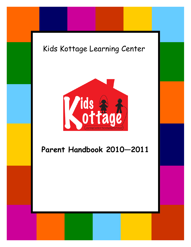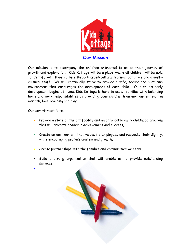

Our mission is to accompany the children entrusted to us on their journey of growth and exploration. Kids Kottage will be a place where all children will be able to identify with their culture through cross-cultural learning activities and a multicultural staff. We will continually strive to provide a safe, secure and nurturing environment that encourages the development of each child. Your child's early development begins at home, Kids Kottage is here to assist families with balancing home and work responsibilities by providing your child with an environment rich in warmth, love, learning and play.

Our commitment is to:

 $\bullet$ 

- Provide a state of the art facility and an affordable early childhood program that will promote academic achievement and success,
- Create an environment that values its employees and respects their dignity, while encouraging professionalism and growth,
- Create partnerships with the families and communities we serve,
- Build a strong organization that will enable us to provide outstanding services.

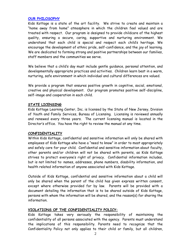#### **OUR PHILOSOPHY**

Kids Kottage is a state of the art facility. We strive to create and maintain a "home away from home" atmosphere in which the children feel valued and are treated with respect. Our program is designed to provide childcare of the highest quality, ensuring a secure, caring, supportive and nurturing environment. We understand that each child is special and respect each child's heritage. We encourage the development of ethnic pride, self-confidence, and the joy of learning. We are dedicated to forming strong and positive partnerships between our families, staff members and the communities we serve.

We believe that a child's day must include gentle guidance, personal attention, and developmentally appropriate practices and activities. Children learn best in a warm, nurturing, safe environment in which individual and cultural differences are valued.

We provide a program that ensures positive growth in cognitive, social, emotional, creative and physical development. Our program promotes positive self-discipline, self-image and cooperation in each child.

#### **STATE LICENSING**

Kids Kottage Learning Center, Inc. is licensed by the State of New Jersey, Division of Youth and Family Services, Bureau of Licensing. Licensing is reviewed annually and renewed every three years. The current licensing manual is located in the Director's office. You have the right to review the manual at any time.

#### **CONFIDENTIALITY**

Within Kids Kottage, confidential and sensitive information will only be shared with employees of Kids Kottage who have a "need to know" in order to most appropriately and safely care for your child. Confidential and sensitive information about faculty, other parents and/or children will not be shared with parents, as Kids Kottage strives to protect everyone's right of privacy. Confidential information includes, but is not limited to: names, addresses, phone numbers, disability information, and health related information of anyone associated with Kids Kottage.

Outside of Kids Kottage, confidential and sensitive information about a child will only be shared when the parent of the child has given express written consent, except where otherwise provided for by law. Parents will be provided with a document detailing the information that is to be shared outside of Kids Kottage, persons with whom the information will be shared, and the reason(s) for sharing the information.

#### **VIOLATIONS OF THE CONFIDENTIALITY POLICY:**

Kids Kottage takes very seriously the responsibility of maintaining the confidentiality of all persons associated with the agency. Parents must understand the implications of this responsibility. Parents need to recognize that the Confidentiality Policy not only applies to their child or family, but all children,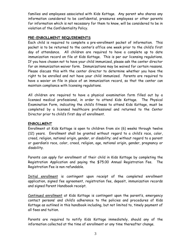families and employees associated with Kids Kottage. Any parent who shares any information considered to be confidential, pressures employees or other parents for information which is not necessary for them to know, will be considered to be in violation of the Confidentiality Policy.

#### **PRE-ENROLLMENT REQUIREMENTS**

Each child is required to complete a pre-enrollment packet of information. This packet is to be returned to the center's office one week prior to the child's first day of attendance. All children are required to have a complete up to date immunization record on file at Kids Kottage. This is per our licensing regulations. If you have chosen not to have your child immunized, please ask the center director for an immunization waiver form. Immunizations may be waived for certain reasons. Please discuss this with the center director to determine whether you have the right to be enrolled and not have your child immunized. Parents are required to have a wavier on file in place of an immunization record, so that the center can maintain compliance with licensing regulations.

All children are required to have a physical examination form filled out by a licensed medical professional, in order to attend Kids Kottage. The Physical Examination Form, indicating the child's fitness to attend Kids Kottage, must be completed by a licensed healthcare professional and returned to the Center Director prior to child's first day of enrollment.

# **ENROLLMENT**

Enrollment at Kids Kottage is open to children from six (6) weeks through twelve (12) years. Enrollment shall be granted without regard to a child's race, color, creed, religion, national origin, gender, or disability; and without regard to a parent or guardian's race, color, creed, religion, age, national origin, gender, pregnancy or disability.

Parents can apply for enrollment of their child in Kids Kottage by completing the Registration Application and paying the \$75.00 Annual Registration Fee. The Registration Fee is non refundable.

Initial enrollment is contingent upon receipt of the completed enrollment application, signed fee agreement, registration fee, deposit, immunization records and signed Parent Handbook receipt.

Continued enrollment at Kids Kottage is contingent upon the parent's, emergency contact persons' and child's adherence to the policies and procedures of Kids Kottage as outlined in this handbook including, but not limited to, timely payment of all fees and tuition.

Parents are required to notify Kids Kottage immediately, should any of the information collected at the time of enrollment or any time thereafter change.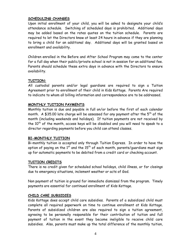#### **SCHEDULING CHANGES**

Upon initial enrollment of your child, you will be asked to designate your child's attendance schedule. Switching of scheduled days is prohibited. Additional days may be added based on the rates quotes on the tuition schedule. Parents are required to let the Directors know at least 24 hours in advance if they are planning to bring a child for an additional day. Additional days will be granted based on enrollment and availability.

Children enrolled in the Before and After School Program may come to the center for a full day when their public/private school is not in session for an additional fee. Parents should schedule these extra days in advance with the Directors to ensure availability.

# **TUITION:**

All custodial parents and/or legal guardians are required to sign a Tuition Agreement prior to enrollment of their child in Kids Kottage. Parents Are required to indicate to whom all billing information and correspondence are to be addressed.

#### **MONTHLY TUITION PAYMENTS**

Monthly tuition is due and payable in full on/or before the first of each calendar month. A \$35.00 late charge will be assessed for any payment after the  $5<sup>th</sup>$  of the month (including weekends and holidays). If tuition payments are not received by the 10<sup>th</sup> of the month, access keys will be disabled and you will need to speak to a director regarding payments before you child can attend classes.

#### **BI-MONTHLY TUITION**

Bi-monthly tuition is accepted only through Tuition Express. In order to have the option of paying on the  $1<sup>st</sup>$  and the  $15<sup>th</sup>$  of each month, parents/quardians must sign up for automatic payments to be debited from a credit card or checking account.

#### **TUITION CREDITS**

There is no credit given for scheduled school holidays, child illness, or for closings due to emergency situations, inclement weather or acts of God.

Non payment of tuition is ground for immediate dismissal from the program. Timely payments are essential for continued enrollment of Kids Kottage.

#### **CHILD CARE SUBSIDIES**

Kids Kottage does accept child care subsidies. Parents of a subsidized child must complete all required paperwork on time to continue enrollment at Kids Kottage. Parents of subsidized children are also required to sign a tuition agreement, agreeing to be personally responsible for their contribution of tuition and full payment of tuition in the event they become ineligible to receive child care subsidies. Also, parents must make up the total difference of the monthly tuition,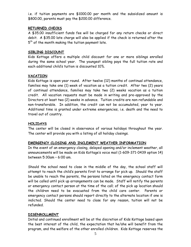i.e. if tuition payments are \$1000.00 per month and the subsidized amount is \$800.00, parents must pay the \$200.00 difference.

# **RETURNED CHECKS**

A \$35.00 insufficient funds fee will be charged for any return checks or direct debit. A \$35.00 late charge will also be applied if the check is returned after the  $5^{\text{th}}$  of the month making the tuition payment late.

#### **SIBLING DISCOUNT**

Kids Kottage offers a multiple child discount for one or more siblings enrolled during the same school year. The youngest sibling pays the full tuition rate and each additional child's tuition is discounted 10%.

# **VACATION**

Kids Kottage is open year round. After twelve (12) months of continual attendance, families may take one (1) week of vacation as a tuition credit. After two (2) years of continual attendance, families may take two (2) weeks vacation as a tuition credit. All vacation requests must be made in writing and pre-approved by the Directors at least two (2) weeks in advance. Tuition credits are non-refundable and non-transferable. In addition, the credit can not be accumulated, year to year. Additional time is granted under extreme emergencies, i.e. death and the need to travel out of country.

#### **HOLIDAYS**

The center will be closed in observance of various holidays throughout the year. The center will provide you with a listing of all holiday closings.

#### **EMERGENCY CLOSING AND INCLEMENT WEATHER INFORMATION**

In the event of an emergency closing, delayed opening and/or inclement weather, all announcements will be made on Kids Kottage's voice mail (1-609-371-0439 option 14) between 5:30am – 6:00 am.

Should the school need to close in the middle of the day, the school staff will attempt to reach the child's parents first to arrange for pick up. Should the staff be unable to reach the parents, the persons listed on the emergency contact form will be called until pick up arrangements can be made. Staff will notify the parents or emergency contact person at the time of the call; of the pick up location should the children need to be evacuated from the child care center. Parents or emergency contact persons should report directly to the alternate location if one is indicted. Should the center need to close for any reason, tuition will not be refunded.

#### **DISENROLLMENT**

Initial and continued enrollment will be at the discretion of Kids Kottage based upon the best interest of the child, the expectation that he/she will benefit from the program, and the welfare of the other enrolled children. Kids Kottage reserves the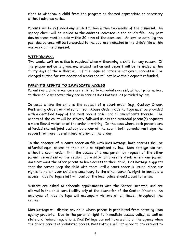right to withdraw a child from the program as deemed appropriate or necessary without advance notice.

Parents will be refunded any unused tuition within two weeks of the dismissal. An agency check will be mailed to the address indicated in the child's file. Any past due balances must be paid within 30 days of the dismissal. An invoice detailing the past due balance will be forwarded to the address indicated in the child's file within one week of the dismissal.

#### **WITHDRAWAL**

Two weeks written notice is required when withdrawing a child for any reason. If the proper notice is given, any unused tuition and deposit will be refunded within thirty days of the withdrawal. If the required notice is not given, parents will be charged tuition for two additional weeks and will not have their deposit refunded.

# **PARENT'S RIGHTS TO IMMEDIATE ACCESS**

Parents of a child in our care are entitled to immediate access, without prior notice, to their child whenever they are in care at Kids Kottage, as provided by law.

In cases where the child is the subject of a court order (e.g., Custody Order, Restraining Order, or Protection from Abuse Order) Kids Kottage must be provided with a **Certified Copy** of the most recent order and all amendments thereto. The orders of the court will be strictly followed unless the custodial parent(s) requests a more liberal variation of the order in writing. In the case where both parents are afforded shared/joint custody by order of the court, both parents must sign the request for more liberal interpretation of the order.

**In the absence of a court order** on file with Kids Kottage, **both** parents shall be afforded equal access to their child as stipulated by law. Kids Kottage can not, without a court order, limit the access of a one parent by request of the other parent, regardless of the reason. If a situation presents itself where one parent does not want the other parent to have access to their child, Kids Kottage suggests that the parent keep the child with them until a court order is issued, since our rights to retain your child are secondary to the other parent's right to immediate access. Kids Kottage staff will contact the local police should a conflict arise.

Visitors are asked to schedule appointments with the Center Director, and are allowed in the child care facility only at the discretion of the Center Director. An employee of Kids Kottage will accompany visitors at all times, throughout the center.

Kids Kottage will dismiss any child whose parent is prohibited from entering upon agency property. Due to the parents' right to immediate access policy, as well as state and federal regulations, Kids Kottage can not have a child at the agency when the child's parent is prohibited access. Kids Kottage will not agree to any request to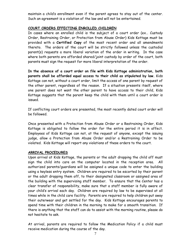maintain a child's enrollment even if the parent agrees to stay out of the center. Such an agreement is a violation of the law and will not be entertained.

#### **COURT ORDERS EFFECTING ENROLLED CHILDREN**

In cases where an enrolled child is the subject of a court order (ex… Custody Order, Restraining Order, or Protection from Abuse Order) Kids Kottage must be provided with a **Certified Copy** of the most recent order and all amendments thereto. The orders of the court will be strictly followed unless the custodial parent(s) requests a more liberal variation of the order in writing. In the case where both parents are afforded shared/joint custody by order of the court, both parents must sign the request for more liberal interpretation of the order.

**In the absence of a court order on file with Kids Kottage administration, both parents shall be afforded equal access to their child as stipulated by law.** Kids Kottage can not, without a court order, limit the access of one parent by request of the other parent, regardless of the reason. If a situation presents itself, where one parent does not want the other parent to have access to their child, Kids Kottage suggests that the parent keep the child with them until a court order is issued.

If conflicting court orders are presented, the most recently dated court order will be followed.

Once presented with a Protection from Abuse Order or a Restraining Order, Kids Kottage is obligated to follow the order for the entire period it is in affect. Employees of Kids Kottage can not, at the request of anyone, except the issuing judge, allow a Protection from Abuse Order and/or a Restraining Order to be violated. Kids Kottage will report any violations of these orders to the court.

# **ARRIVAL PROCEDURES**

Upon arrival at Kids Kottage, the parents or the adult dropping the child off must sign the child into care on the computer located in the reception area. All authorized parents/guardians will be assigned a unique code to enter the building using a keyless entry system. Children are required to be escorted by their parent or the adult dropping them off, to their designated classroom or assigned area of the building with the supervising staff member. To ensure that the Center has a clear transfer of responsibility, make sure that a staff member is fully aware of your child's arrival each day. Children are required by law to be supervised at all times while in the child care facility. Parents are required to help children put away their outerwear and get settled for the day. Kids Kottage encourages parents to spend time with their children in the morning to make for a smooth transition. If there is anything that the staff can do to assist with the morning routine, please do not hesitate to ask.

At arrival, parents are required to follow the Medication Policy if a child must receive medication during the course of the day.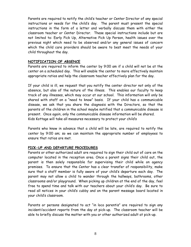Parents are required to notify the child's teacher or Center Director of any special instructions or needs for the child's day. The parent must present the special instructions in the form of a letter and verbally discuss them with either the classroom teacher or Center Director. These special instructions include but are not limited to: Early Pick Up, Alternative Pick Up Person, health issues over the previous night which need to be observed and/or any general issues of concern which the child care providers should be aware to best meet the needs of your child throughout the day.

#### **NOTIFICATION OF ABSENCE**

Parents are required to inform the center by 9:00 am if a child will not be at the center on a scheduled day. This will enable the center to more effectively maintain appropriate ratios and help the classroom teacher effectively plan for the day.

If your child is ill, we request that you notify the center director not only of the absence, but also of the nature of the illness. This enables our faculty to keep track of any illnesses, which may occur at our school. This information will only be shared with staff on a "need to know" basis. If your child has a communicable disease, we ask that you share the diagnosis with the Directors, so that the parents of the children in the school maybe notified that a communicable disease is present. Once again, only the communicable disease information will be shared. Kids Kottage will take all measures necessary to protect your child's

Parents who know in advance that a child will be late, are required to notify the center by 9:00 am; so we can maintain the appropriate number of employees to ensure that ratios are met.

#### **PICK-UP AND DEPARTURE PROCEDURES**

Parents or other authorized adult are required to sign their child out of care on the computer located in the reception area. Once a parent signs their child out, the parent is then solely responsible for supervising their child while on agency premises. To ensure that the Center has a clear transfer of responsibility, make sure that a staff member is fully aware of your child's departure each day. The parent may not allow a child to wander through the hallways, bathrooms, other classrooms and/or playground. When picking up children at the end of the day, feel free to spend time and talk with our teachers about your child's day. Be sure to read all notices in your child's cubby and on the parent message board located in your child's classroom.

Parents or persons designated to act "in loco parentis" are required to sign any incident/accident reports from the day at pick-up. The classroom teacher will be able to briefly discuss the matter with you or other authorized adult at pick-up.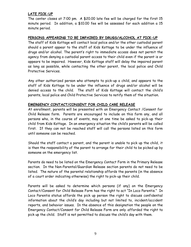# **LATE PICK-UP**

The center closes at 7:00 pm. A \$20.00 late fee will be charged for the first 15 minute period. In addition, a \$10.00 fee will be assessed for each addition a 15 minute period.

#### **PERSONS APPEARING TO BE IMPAIRED BY DRUGS/ALCOHOL AT PICK-UP**

The staff of Kids Kottage will contact local police and/or the other custodial parent should a parent appear to the staff of Kids Kottage to be under the influence of drugs and/or alcohol. The parent's right to immediate access does not permit the agency from denying a custodial parent access to their child even if the parent is or appears to be impaired. However, Kids Kottage staff will delay the impaired parent as long as possible, while contacting the other parent, the local police and Child Protective Services.

Any other authorized person who attempts to pick-up a child, and appears to the staff of Kids Kottage to be under the influence of drugs and/or alcohol will be denied access to the child. The staff of Kids Kottage will contact the child's parents, local police and Child Protective Services to notify them of the situation.

#### **EMERGENCY CONTACT/CONSENT FOR CHILD CARE RELEASE**

At enrollment, parents will be presented with an Emergency Contact /Consent for Child Release form. Parents are encouraged to include on this form any, and all persons who, in the course of events, may at one time be asked to pick-up their child from Kids Kottage. In an emergency situation the child's parents will be called first. If they can not be reached staff will call the persons listed on this form until someone can be reached.

Should the staff contact a parent, and the parent is unable to pick up the child, it is then the responsibility of the parent to arrange for their child to be picked up by someone on the emergency list.

Parents do need to be listed on the Emergency Contact Form in the Primary Release section. In the Non-Parental/Guardian Release section parents do not need to be listed. The nature of the parental relationship affords the parents (in the absence of a court order indicating otherwise) the right to pick-up their child.

Parents will be asked to determine which persons (if any) on the Emergency Contact/Consent for Child Release Form has the right to act "In Loco Parentis." In Loco Parentis status affords the pick up person the right to discuss confidential information about the child's day including but not limited to, incident/accident reports, and behavior issues. In the absence of this designation the people on the Emergency Contact/Consent for Child Release Form are only afforded the right to pick up the child. Staff is not permitted to discuss the child's day with them.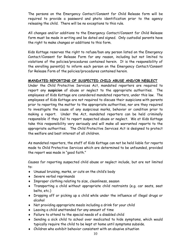The persons on the Emergency Contact/Consent for Child Release form will be required to provide a password and photo identification prior to the agency releasing the child. There will be no exceptions to this rule.

All changes and/or additions to the Emergency Contact/Consent for Child Release form must be made in writing and be dated and signed. Only custodial parents have the right to make changes or additions to this form.

Kids Kottage reserves the right to refuse/ban any person listed on the Emergency Contact/Consent for Release Form for any reason, including but not limited to violations of the policies/procedures contained herein. It is the responsibility of the enrolling parent(s) to inform each person on the Emergency Contact/Consent for Release Form of the policies/procedures contained herein.

# **MANDATED REPORTING OF SUSPECTED CHILD ABUSE AND/OR NEGLECT**

Under the Child Protective Services Act, mandated reporters are required to report any **suspicion** of abuse or neglect to the appropriate authorities. The employees of Kids Kottage are considered mandated reporters, under this law. The employees of Kids Kottage are not required to discuss their suspicions with parents prior to reporting the matter to the appropriate authorities, nor are they required to investigate the cause of any suspicious marks, behavior or condition prior to making a report. Under the Act, mandated reporters can be held criminally responsible if they fail to report suspected abuse or neglect. We at Kids Kottage take this responsibility very seriously and will make all warranted reports to the appropriate authorities. The Child Protective Services Act is designed to protect the welfare and best interest of all children.

As mandated reporters, the staff of Kids Kottage can not be held liable for reports made to Child Protective Services which are determined to be unfounded, provided the report was made in "good faith."

Causes for reporting suspected child abuse or neglect include, but are not limited to:

- Unusual bruising, marks, or cuts on the child's body
- Severe verbal reprimands
- Improper clothing relating to size, cleanliness, season
- Transporting a child without appropriate child restraints (e.g. car seats, seat belts, etc.)
- Dropping off or picking up a child while under the influence of illegal drugs or alcohol
- Not providing appropriate meals including a drink for your child
- Leaving a child unattended for any amount of time
- Failure to attend to the special needs of a disabled child
- Sending a sick child to school over medicated to hide symptoms, which would typically require the child to be kept at home until symptoms subside.
- Children who exhibit behavior consistent with an abusive situation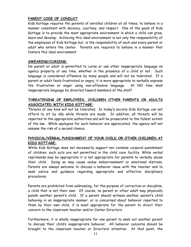## **PARENT CODE OF CONDUCT**

Kids Kottage requires the parents of enrolled children at all times, to behave in a manner consistent with decency, courtesy, and respect. One of the goals of Kids Kottage is to provide the most appropriate environment in which a child can grow, learn and develop. Achieving this ideal environment is not only the responsibility of the employees of Kids Kottage but, is the responsibility of each and every parent or adult who enters the center. Parents are required to behave in a manner that fosters this ideal environment.

#### **SWEARING/CURSING:**

No parent or adult is permitted to curse or use other inappropriate language on agency property at any time, whether in the presence of a child or not. Such language is considered offensive by many people and will not be tolerated. If a parent or adult feels frustrated or angry, it is more appropriate to verbally express the frustration or anger using non-offensive language. At NO time shall inappropriate language be directed toward members of the staff.

# **THREATENING OF EMPLOYEES, CHILDREN OTHER PARENTS OR ADULTS ASSOCIATED WITH KIDS KOTTAGE:**

Threats of any kind will not be tolerated. In today's society Kids Kottage can not afford to sit by idly while threats are made. In addition, all threats will be reported to the appropriate authorities and will be prosecuted to the fullest extent of the law. While apologies for such behavior are appreciated, the agency will not assume the risk of a second chance.

# **PHYSICAL/VERBAL PUNISHMENT OF YOUR CHILD OR OTHER CHILDREN AT KIDS KOTTAGE:**

While Kids Kottage does not necessarily support nor condone corporal punishment of children, such acts are not permitted in the child care facility. While verbal reprimands may be appropriate it is not appropriate for parents to verbally abuse their child. Doing so may cause undue embarrassment or emotional distress. Parents are always welcome to discuss a behavior issue with the teacher and to seek advice and guidance regarding appropriate and effective disciplinary procedures.

Parents are prohibited from addressing, for the purpose of correction or discipline, a child that is not their own. Of course, no parent or other adult may physically punish another parent's child. If a parent should witness another parent's child behaving in an inappropriate manner, or is concerned about behavior reported to them by their own child, it is most appropriate for the parent to direct their concern to the classroom teacher and/or Center Directors.

Furthermore, it is wholly inappropriate for one parent to seek out another parent to discuss their child's inappropriate behavior. All behavior concerns should be brought to the classroom teacher or Directors' attention. At that point, the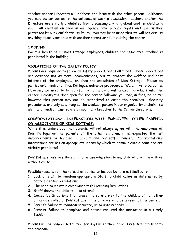teacher and/or Directors will address the issue with the other parent. Although you may be curious as to the outcome of such a discussion, teachers and/or the Directors' are strictly prohibited from discussing anything about another child with you. All children enrolled in our agency have privacy rights and are further protected by our Confidentiality Policy. You may be assured that we will not discuss anything about your child with another parent or adult visiting the center.

# **SMOKING:**

For the health of all Kids Kottage employees, children and associates, smoking is prohibited in the building.

# **VIOLATIONS OF THE SAFETY POLICY:**

Parents are required to follow all safety procedures at all times. These procedures are designed not as mere inconveniences, but to protect the welfare and best interest of the employees, children and associates of Kids Kottage. Please be particularly mindful of Kids Kottage's entrance procedures. We all like to be polite. However, we need to be careful to not allow unauthorized individuals into the center. Holding the door open for the person following you may, in fact, be polite; however that person may not be authorized to enter the premises. Security procedures are only as strong as the weakest person in our organizational chain. Be alert and mindful. Immediately report any breaches to the Center Directors.

# **CONFRONTATIONAL INTERACTION WITH EMPLOYEES, OTHER PARENTS OR ASSOCIATES OF KIDS KOTTAGE:**

While it is understood that parents will not always agree with the employees of Kids Kottage or the parents of the other children, it is expected that all disagreements be handled in a calm and respectful manner. Confrontational interactions are not an appropriate means by which to communicate a point and are strictly prohibited.

Kids Kottage reserves the right to refuse admission to any child at any time with or without cause.

Possible reasons for the refusal of admission include but are not limited to:

- 1. Lack of staff to maintain appropriate Staff to Child Ratios as determined by State Licensing Regulations.
- 2. The need to maintain compliance with Licensing Regulations.
- 3. Staff deems the child to ill to attend.
- 4. Domestics Situations that present a safety risk to the child, staff or other children enrolled at Kids Kottage if the child were to be present at the center.
- 5. Parent's failure to maintain accurate, up to date records.
- 6. Parents' failure to complete and return required documentation in a timely fashion.

Parents will be reimbursed tuition for days when their child is refused admission to the program.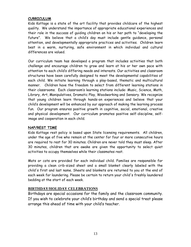#### **CURRICULUM**

Kids Kottage is a state of the art facility that provides childcare of the highest quality. We understand the importance of appropriate educational experiences and their role in the success of guiding children on his or her path to "developing the future". We believe that a child's day must include gentle guidance, personal attention, and developmentally appropriate practices and activities. Children learn best in a warm, nurturing, safe environment in which individual and cultural differences are valued.

Our curriculum team has developed a program that includes activities that both challenge and encourage children to grow and learn at his or her own pace with attention to each child's differing needs and interests. Our activities and classroom structures have been carefully designed to meet the developmental capabilities of each child. We initiate learning through a play-based, thematic and multicultural manner. Children have the freedom to select from different learning stations in their classrooms. Each classroom's learning stations include: Music, Science, Math, Library, Art, Manipulatives, Dramatic Play, Woodworking and Sensory. We recognize that young children learn through hands-on experiences and believe that your child's development will be enhanced by our approach of making the learning process fun. Our program ensures positive growth in cognitive, social, emotional, creative and physical development. Our curriculum promotes positive self-discipline, selfimage and cooperation in each child.

# **NAP/REST TIME**

Kids Kottage rest policy is based upon State licensing requirements. All children, under the age of five who remain at the center for four or more consecutive hours are required to rest for 30 minutes. Children are never told they must sleep. After 30 minutes, children that are awake are given the opportunity to select quiet activities to occupy themselves while their classmates rest.

Mats or cots are provided for each individual child. Families are responsible for providing a clean crib-sized sheet and a small blanket clearly labeled with the child's first and last name. Sheets and blankets are returned to you at the end of each week for laundering. Please be certain to return your child's freshly laundered bedding at the start of each week.

# **BIRTHDAY/HOLIDAY CELEBRATIONS**

Birthdays are special occasions for the family and the classroom community. If you wish to celebrate your child's birthday and send a special treat please arrange this ahead of time with your child's teacher.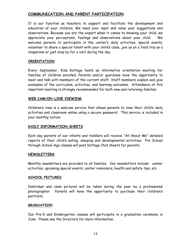# **COMMUNICATION AND PARENT PARTICIPATION**

It is our function as teachers to support and facilitate the development and education of your children. We need your input and value your suggestions and observations. Because you are the expert when it comes to knowing your child, we appreciate your perceptions, feelings and observations about your child. We welcome parents to participate in the center's daily activities, special events, volunteer to share a special talent with your child's class, join us on a field trip as a chaperone or just stop by for a visit during the day.

#### **ORIENTATION**

Every September, Kids Kottage hosts an informative orientation meeting for families of children enrolled. Parents and/or guardians have the opportunity to meet and talk with members of the current staff. Staff members explain and give examples of the curriculum, activities, and learning outcomes. Attendance at this important meeting is strongly recommended for both new and returning families.

#### **WEB CAM/ON-LINE VIEWING**

Children's view is a webcam service that allows parents to view their child's daily activities and classroom online using a secure password. This service is included in your monthly tuition.

#### **DAILY INFORMATION SHEETS**

Each day parents of our infants and toddlers will receive "All About Me" detailed reports of their child's eating, sleeping and developmental activities. Pre School through School Age classes will post Kottage Chat sheets for parents.

#### **NEWSLETTERS**

Monthly newsletters are provided to all families. Our newsletters include: center activities, upcoming special events, center reminders, health and safety tips, etc.

#### **SCHOOL PICTURES**

Individual and class pictures will be taken during the year by a professional photographer. Parents will have the opportunity to purchase their children's portraits.

#### **GRADUATION**

Our Pre-K and Kindergarten classes will participate in a graduation ceremony in June. Please see the Directors for more information.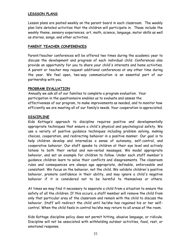## **LESSSON PLANS**

Lesson plans are posted weekly on the parent board in each classroom. The weekly plan lists detailed activities that the children will participate in. These include the weekly theme, sensory experiences, art, math, science, language, motor skills as well as stories, songs, and other activities.

#### **PARENT TEACHER CONFERENCES**

Parent/teacher conferences will be offered two times during the academic year to discuss the development and progress of each individual child. Conferences also provide an opportunity for you to share your child's interests and home activities. A parent or teacher may request additional conferences at any other time during the year. We feel open, two-way communication is an essential part of our partnership with you.

#### **PROGRAM EVALUATION**

Annually we ask all of our families to complete a program evaluation. Your participation in the questionnaire enables us to evaluate and assess the effectiveness of our program, to make improvements as needed, and to monitor how efficiently we are meeting all of our family's needs. Your cooperation is appreciated.

#### **DISCIPLINE**

Kids Kottage's approach to discipline requires positive and developmentally appropriate techniques that ensure a child's physical and psychological safety. We use a variety of positive guidance techniques including problem solving, making choices, cooperation, and redirecting behavior in a positive manner. Our goal is to help children develop and internalize a sense of autonomy, self-control, and cooperative behavior. Our staff speaks to children at their eye level and actively listens to both their verbal and non-verbal messages. We model appropriate behavior, and set an example for children to follow. Under each staff member's guidance children learn to solve their conflicts and disagreements. The classroom rules and consequences are always age appropriate, definable, enforceable and consistent. We focus on the behavior, not the child. We validate children's positive behavior, promote confidence in their ability, and may ignore a child's negative behavior if it is considered not to be harmful to themselves or others.

At times we may find it necessary to separate a child from a situation to ensure the safety of all the children. If this occurs, a staff member will remove the child from only that particular area of the classroom and remain with the child to discuss the behavior. Staff will redirect the child until he/she has regained his or her selfcontrol. When the child feels in control he/she may return to all areas of the room.

Kids Kottage discipline policy does not permit hitting, abusive language, or ridicule. Discipline will not be associated with withholding outdoor activities, food, rest, or emotional response.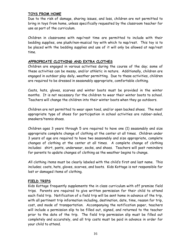# **TOYS FROM HOME**

Due to the risk of damage, sharing issues, and loss, children are not permitted to bring in toys from home, unless specifically requested by the classroom teacher for use as part of the curriculum.

Children in classrooms with nap/rest time are permitted to include with their bedding supplies, one plush/non-musical toy with which to nap/rest. This toy is to be placed with the bedding supplies and use of it will only be allowed at nap/rest time.

#### **APPROPRIATE CLOTHING AND EXTRA CLOTHES**

Children are engaged in various activities during the course of the day; some of these activities can be messy, and/or athletic in nature. Additionally, children are engaged in outdoor play daily, weather permitting. Due to these activities, children are required to be dressed in seasonably appropriate, comfortable clothing.

Coats, hats, gloves, scarves and winter boots must be provided in the winter months. It is not necessary for the children to wear their winter boots to school. Teachers will change the children into their winter boots when they go outdoors.

Children are not permitted to wear open toed, and/or open backed shoes. The most appropriate type of shoes for participation in school activities are rubber-soled, sneakers/tennis shoes.

Children ages 3 years through 5 are required to have one (1) seasonably and size appropriate complete change of clothing at the center at all times. Children under 3 years of age are required to have two seasonably and size appropriate, complete changes of clothing at the center at all times. A complete change of clothing includes: shirt, pants, underwear, socks, and shoes. Teachers will post reminders for parents to update changes of clothing as the weather begins to change.

All clothing items must be clearly labeled with the child's first and last name. This includes; coats, hats, gloves, scarves, and boots. Kids Kottage is not responsible for lost or damaged items of clothing.

#### **FIELD TRIPS**

Kids Kottage frequently supplements the in class curriculum with off premise field trips. Parents are required to give written permission for their child to attend each field trip. Notification of a field trip will be sent home in advance of the trip, with all pertinent trip information including, destination, date, time, reason for trip, cost, and mode of transportation. Accompanying the notification paper, teachers will include a permission slip to be filled out, signed, and returned to the teacher prior to the date of the trip. The field trip permission slip must be filled out completely and accurately, and all trip costs must be paid in advance in order for your child to attend.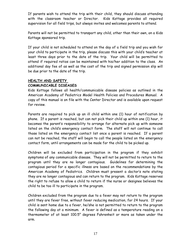If parents wish to attend the trip with their child, they should discuss attending with the classroom teacher or Director. Kids Kottage provides all required supervision for all field trips, but always invites and welcomes parents to attend.

Parents will not be permitted to transport any child, other than their own, on a Kids Kottage sponsored trip.

If your child is not scheduled to attend on the day of a field trip and you wish for your child to participate in the trip, please discuss this with your child's teacher at least three days prior to the date of the trip. Your child will be permitted to attend if required ratios can be maintained with his/her addition to the class. An additional day fee of as well as the cost of the trip and signed permission slip will be due prior to the date of the trip.

#### **HEALTH AND SAFETY**

#### **COMMUNICABLE DISEASES**

Kids Kottage follows all health/communicable disease policies as outlined in the American Academy of Pediatrics Model Health Policies and Procedures Manual. A copy of this manual is on file with the Center Director and is available upon request for review.

Parents are required to pick up an ill child within one (1) hour of notification by phone. If a parent is reached, but can not pick their child up within one (1) hour, it becomes the parent's responsibility to arrange for alternate pick up with someone listed on the child's emergency contact form. The staff will not continue to call those listed on the emergency contact list once a parent is reached. If a parent can not be reached, the staff will begin to call the people listed on the emergency contact form, until arrangements can be made for the child to be picked up.

Children will be excluded from participation in the program if they exhibit symptoms of any communicable disease. They will not be permitted to return to the program until they are no longer contagious. Guidelines for determining the contagious period for a specific illness are based on the recommendations by the American Academy of Pediatrics. Children must present a doctor's note stating they are no longer contagious and can return to the program. Kids Kottage reserves the right to refuse to allow a child to return if the nurse or designee believes the child to be too ill to participate in the program.

Children excluded from the program due to a fever may not return to the program until they are fever free, without fever reducing medication, for 24 hours. If your child is sent home due to a fever, he/she is not permitted to return to the program the following day at a minimum. A fever is defined as a temperature reading on a thermometer of at least 100.5° degrees Fahrenheit or more as taken under the arm.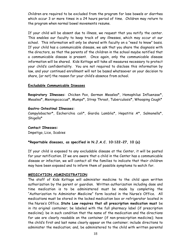Children are required to be excluded from the program for lose bowels or diarrhea which occur 3 or more times in a 24 hours period of time. Children may return to the program when normal bowel movements resume.

If your child will be absent due to illness, we request that you notify the center. This enables our faculty to keep track of any illnesses, which may occur at our school. This information will only be shared with faculty on a "need to know" basis. If your child has a communicable disease, we ask that you share the diagnosis with the directors, so that the parents of the children in the school maybe notified that a communicable disease is present. Once again, only the communicable disease information will be shared. Kids Kottage will take all measures necessary to protect your child's confidentiality. You are not required to disclose this information by law, and your continued enrollment will not be based whatsoever on your decision to share, (or not) the reason for your child's absence from school.

#### **Excludable Communicable Diseases**

**Respiratory Illnesses:** Chicken Pox, German Measles\*, Hemophilus Influenzae\*, Measles\*, Meningococcus\*, Mumps\*, Strep Throat, Tuberculosis\*, Whooping Cough\*

#### **Gastro-Intestinal Illnesses:**

Campylobacter\*, Escherichia coli\*, Giardia Lamblia\*, Hepatitis A\*, Salmonella\*, Shigella\*

# **Contact Illnesses:**

Impetigo, Lice, Scabies

#### **\*Reportable diseases, as specified in N.J.A.C. 10:122-27, 10 (a)**

If your child is exposed to any excludable disease at the Center, it will be posted for your notification. If we are aware that a child in the Center has a communicable disease or infection, we will contact all the families to indicate that their children may have been exposed and to inform them of possible symptoms to watch for.

#### **MEDICATION ADMINISTRATION**

The staff of Kids Kottage will administer medicine to the child upon written authorization by the parent or guardian. Written authorization including dose and time medication is to be administered must be made by completing the "Authorization to Administer Medicine" form located in the Nurse's Office. All medications must be stored in the locked medication box or refrigerator located in the Nurse's Office. **State Law requires that all prescription medication must** be in its original container; be labeled with the full pharmacy label (if prescription medicine); be in such condition that the name of the medication and the directions for use are clearly readable on the container (if non-prescription medicine); have the child's first and last name clearly appear on the container; include directions to administer the medication; and, be administered to the child with written parental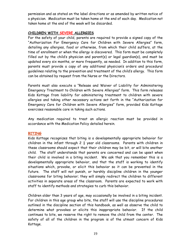permission and as stated on the label directions or as amended by written notice of a physician. Medication must be taken home at the end of each day. Medication not taken home at the end of the week will be discarded.

#### **CHILDREN WITH SEVERE ALLERGIES**

For the safety of your child, parents are required to provide a signed copy of the "Authorization For Emergency Care for Children with Severe Allergies" form, detailing any allergies, food or otherwise, from which their child suffers, at the time of enrollment or when the allergy is discovered. This form must be completely filled out by the child's physician and parent(s) or legal guardian(s), and must be updated every six months, or more frequently, as needed. In addition to this form, parents must provide a copy of any additional physician's orders and procedural guidelines relating to the prevention and treatment of the child's allergy. This form can be obtained by request from the Nurse or the Directors.

Parents must also execute a "Release and Waiver of Liability for Administering Emergency Treatment to Children with Severe Allergies" form. This form releases Kids Kottage from liability for administering treatment to children with severe allergies and taking other necessary actions set forth in the "Authorization for Emergency Care for Children with Severe Allergies" form, provided Kids Kottage exercises reasonable care in taking such actions.

Any medication required to treat an allergic reaction must be provided in accordance with the Medication Policy detailed herein.

# **BITING**

Kids Kottage recognizes that biting is a developmentally appropriate behavior for children in the infant through 2  $\frac{1}{2}$  year old classrooms. Parents with children in these classrooms should expect that their children may be bit, or will bite another child. The staff understands that parents are concerned and can be upset when their child is involved in a biting incident. We ask that you remember this is a developmentally appropriate behavior, and that the staff is working to identify situations which, provoke, or elicit this behavior so it can be prevented in the future. The staff will not punish, or harshly discipline children in the younger classrooms for biting behavior; they will simply redirect the children to different activities in separate areas of the classroom. Parents are expected to work with staff to identify methods and strategies to curb this behavior.

Children older than 3 years of age, may occasionally be involved in a biting incident. For children in this age group who bite, the staff will use the discipline procedures outlined in the discipline section of this handbook, as well as observe the child to determine what provokes or elicits this inappropriate behavior. If the child continues to bite, we reserve the right to remove the child from the center. The safety of all of the children in the program is of the utmost concern of Kids Kottage.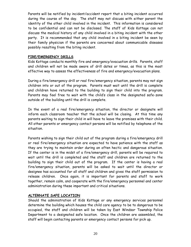Parents will be notified by incident/accident report that a biting incident occurred during the course of the day. The staff may not discuss with either parent the identity of the other child involved in the incident. This information is considered to be confidential and can not be disclosed. The staff of Kids Kottage can not discuss the medical history of any child involved in a biting incident with the other party. It is recommended that any child involved in a biting incident be seen by their family physician if the parents are concerned about communicable diseases possibly resulting from the biting incident.

#### **FIRE/EMERGENCY DRILLS**

Kids Kottage conducts monthly fire and emergency/evacuation drills. Parents, staff and children will not be made aware of drill dates or times, as this is the most effective way to assess the effectiveness of fire and emergency/evacuation plans.

During a fire/emergency drill or real fire/emergency situation, parents may not sign children into or out of the program. Parents must wait until the drill is complete and children have returned to the building to sign their child into the program. Parents may feel free to wait with the child's class in the designated safe-zone outside of the building until the drill is complete.

In the event of a real fire/emergency situation, the director or designate will inform each classroom teacher that the school will be closing. At this time any parents waiting to sign their child in will have to leave the premises with their child. All other parents or emergency contact persons will be notified by telephone of the situation.

Parents wishing to sign their child out of the program during a fire/emergency drill or real fire/emergency situation are expected to have patience with the staff as they are trying to maintain order during an often hectic and dangerous situation. If the center is in the midst of a fire/emergency drill, parents will be required to wait until the drill is completed and the staff and children are returned to the building to sign their child out of the program. If the center is having a real fire/emergency situation, parents will be asked to wait until the director or designee has accounted for all staff and children and gives the staff permission to release children. Once again, it is important for parents and staff to work together, remain calm, and cooperate with the fire/emergency personnel and center administration during these important and critical situations.

# **ALTERNATE SAFE LOCATION**

Should the administration of Kids Kottage or any emergency services personnel determine the building which houses the child care agency to be to dangerous to be occupied, the staff and children will be taken by East Windsor Township Police Department to a designated safe location. Once the children are assembled, the staff will begin contacting parents or emergency contact persons for pick up.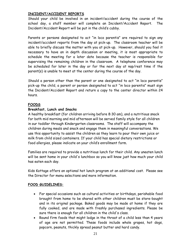# **INCIDENT/ACCIDENT REPORTS**

Should your child be involved in an incident/accident during the course of the school day, a staff member will complete an Incident/Accident Report. The Incident/Accident Report will be put in the child's cubby.

Parents or persons designated to act "in loco parentis" are required to sign any incident/accident reports from the day at pick-up. The classroom teacher will be able to briefly discuss the matter with you at pick-up. However, should you feel it necessary to have an in depth discussion or meeting, it is most appropriate to schedule the meeting for a later date because the teacher is responsible for supervising the remaining children in the classroom. A telephone conference may be scheduled for later in the day or for the next day at nap/rest time if the parent(s) is unable to meet at the center during the course of the day.

Should a person other than the parent or one designated to act "in loco parentis" pick-up the child, a parent or person designated to act "in loco parentis" must sign the Incident/Accident Report and return a copy to the center director within 24 hours.

#### **FOODS**

#### **Breakfast, Lunch and Snacks**

A healthy breakfast (for children arriving before 8:30 am), and a nutritious snack for both mid morning and mid afternoon will be served family style for all children in our toddler through Kindergarten classrooms. The staff will accompany the children during meals and snack and engage them in meaningful conversations. We use this opportunity to assist the children as they learn to pour their own juice or milk from child sized containers. If your child has special dietary restrictions or food allergies, please indicate on your child's enrollment form.

Families are required to provide a nutritious lunch for their child. Any uneaten lunch will be sent home in your child's lunchbox so you will know just how much your child has eaten each day.

Kids Kottage offers an optional hot lunch program at an additional cost. Please see the Director for menu selections and more information.

#### **FOOD GUIDELINES:**

- For special occasions such as cultural activities or birthdays, perishable food brought from home to be shared with other children must be store-bought and in its original package. Baked goods may be made at home if they are fully cooked, and are made with freshly purchased ingredients. Please be sure there is enough for all children in the child's class.
- Round firm foods that might lodge in the throat of a child less than 4 years of age are not permitted. These foods include whole grapes, hot dogs, popcorn, peanuts, thickly spread peanut butter and hard candy.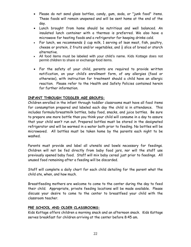- Please do not send glass bottles, candy, gum, soda, or "junk food" items. These foods will remain unopened and will be sent home at the end of the day.
- Lunch brought from home should be nutritious and well balanced. An insulated lunch container with a thermos is preferred. We also have a microwave for heating foods and a refrigerator for keeping drinks cold.
- For lunch, we recommends  $\frac{3}{4}$  cup milk, 1 serving of lean meat, fish, poultry, cheese or protein, 2 fruits and/or vegetables, and  $\frac{1}{2}$  slice of bread or starch alternative.
- All food items must be labeled with your child's name. Kids Kottage does not permit children to share or exchange food items.
- For the safety of your child, parents are required to provide written notification, on your child's enrollment form, of any allergies (food or otherwise), with instruction for treatment should a child have an allergic reaction. Please refer to the Health and Safety Policies contained herein for further information.

# **INFANT THROUGH TODDLER AGE GROUPS:**

Children enrolled in the infant through toddler classrooms must have all food items for consumption prepared and labeled each day the child is in attendance. This includes formula/breastmilk bottles, baby food, snacks, and juice bottles. Be sure to prepare one more bottle than you think your child will consume in a day to assure that your child won't run out. Prepared bottles must be stored in the designated refrigerator and will be warmed in a water bath prior to feeding. No bottles will be microwaved. All bottles must be taken home by the parents each night to be washed.

Parents must provide and label all utensils and bowls necessary for feedings. Children will not be fed directly from baby food jars, nor will the staff use previously opened baby food. Staff will mix baby cereal just prior to feedings. All unused food remaining after a feeding will be discarded.

Staff will complete a daily chart for each child detailing for the parent what the child ate, when, and how much.

Breastfeeding mothers are welcome to come to the center during the day to feed their child. Appropriate, private feeding locations will be made available. Please discuss your desire to come to the center to breastfeed your child with the classroom teacher.

# **PRE SCHOOL AND OLDER CLASSROOMS:**

Kids Kottage offers children a morning snack and an afternoon snack. Kids Kottage serves breakfast for children arriving at the center before 8:45 am.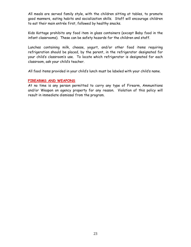All meals are served family style, with the children sitting at tables, to promote good manners, eating habits and socialization skills. Staff will encourage children to eat their main entrée first, followed by healthy snacks.

Kids Kottage prohibits any food item in glass containers (except Baby food in the infant classrooms). These can be safety hazards for the children and staff.

Lunches containing milk, cheese, yogurt, and/or other food items requiring refrigeration should be placed, by the parent, in the refrigerator designated for your child's classroom's use. To locate which refrigerator is designated for each classroom, ask your child's teacher.

All food items provided in your child's lunch must be labeled with your child's name.

#### **FIREARMS AND WEAPONS**

At no time is any person permitted to carry any type of Firearm, Ammunitions and/or Weapon on agency property for any reason. Violation of this policy will result in immediate dismissal from the program.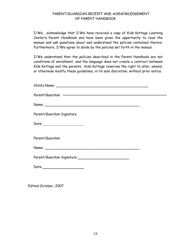# PARENT/GUARDIAN RECEIPT AND ACKNOWLEDGEMENT OF PARENT HANDBOOK

I/We, acknowledge that I/We have received a copy of Kids Kottage Learning Center's Parent Handbook and have been given the opportunity to read the manual and ask questions about and understand the policies contained therein. Furthermore, I/We agree to abide by the policies set forth in the manual.

I/We understand that the policies described in the Parent Handbook are not conditions of enrollment, and the language does not create a contract between Kids Kottage and the parents. Kids Kottage reserves the right to alter, amend, or otherwise modify these guidelines, in its sole discretion, without prior notice.

| Parent/Guardian Signature                                |  |
|----------------------------------------------------------|--|
|                                                          |  |
| Parent/Guardian                                          |  |
|                                                          |  |
| Parent/Guardian Signature: _____________________________ |  |
| Date: ______________________                             |  |
|                                                          |  |

Edited October, 2007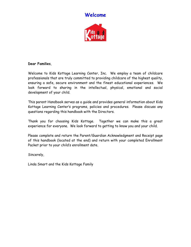# **Welcome**



## **Dear Families**,

Welcome to Kids Kottage Learning Center, Inc. We employ a team of childcare professionals that are truly committed to providing childcare of the highest quality, ensuring a safe, secure environment and the finest educational experiences. We look forward to sharing in the intellectual, physical, emotional and social development of your child.

This parent Handbook serves as a guide and provides general information about Kids Kottage Learning Center's programs, policies and procedures. Please discuss any questions regarding this handbook with the Directors.

Thank you for choosing Kids Kottage. Together we can make this a great experience for everyone. We look forward to getting to know you and your child.

Please complete and return the Parent/Guardian Acknowledgment and Receipt page of this handbook (located at the end) and return with your completed Enrollment Packet prior to your child's enrollment date.

Sincerely,

Linda Smart and the Kids Kottage Family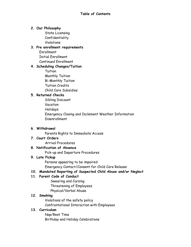# **2. Our Philosophy**

State Licensing Confidentiality Violations

# **3. Pre enrollment requirements**

Enrollment Initial Enrollment Continued Enrollment

# **4. Scheduling Changes/Tuition**

**Tuition** Monthly Tuition Bi-Monthly Tuition Tuition Credits Child Care Subsidies

# **5. Returned Checks**

Sibling Discount Vacation Holidays Emergency Closing and Inclement Weather Information Disenrollment

# **6. Withdrawal**

Parents Rights to Immediate Access

# **7. Court Orders**

Arrival Procedures

# **8. Notification of Absence**

Pick-up and Departure Procedures

# **9. Late Pickup**

Persons appearing to be impaired Emergency Contact/Consent for Child Care Release

# **10. Mandated Reporting of Suspected Child Abuse and/or Neglect**

# **11. Parent Code of Conduct**

Swearing and Cursing Threatening of Employees Physical/Verbal Abuse

# **12. Smoking**

Violations of the safety policy Confrontational Interaction with Employees

# **13. Curriculum**

Nap/Rest Time Birthday and Holiday Celebrations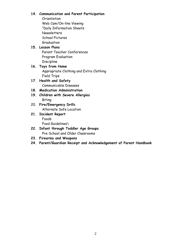# **14. Communication and Parent Participation**

Orientation Web Cam/On-line Viewing "Daily Information Sheets Newsletters School Pictures Graduation

# **15. Lesson Plans**

Parent Teacher Conferences Program Evaluation **Discipline** 

**16. Toys from Home** Appropriate Clothing and Extra Clothing Field Trips

# **17. Health and Safety** Communicable Diseases

# **18. Medication Administration**

- **19. Children with Severe Allergies** Biting
- 20. **Fire/Emergency Drill**s Alternate Safe Location
- **21. Incident Report** Foods

Food Guidelines\

- **22. Infant through Toddler Age Groups** Pre-School and Older Classrooms
- **23. Firearms and Weapons**
- **24. Parent/Guardian Receipt and Acknowledgement of Parent Handbook**